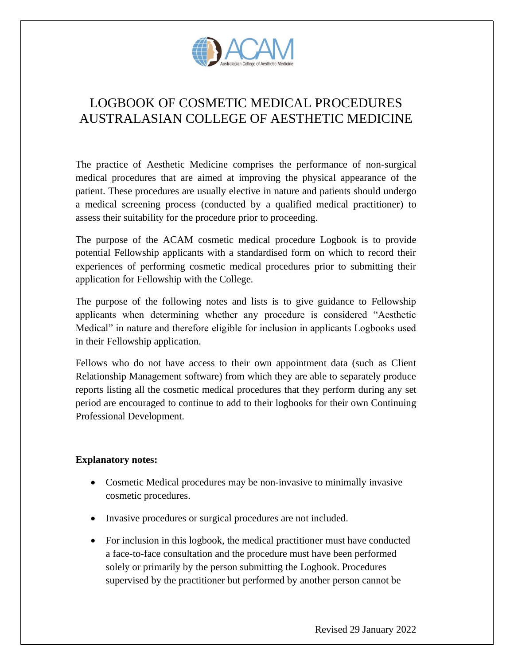

# LOGBOOK OF COSMETIC MEDICAL PROCEDURES AUSTRALASIAN COLLEGE OF AESTHETIC MEDICINE

The practice of Aesthetic Medicine comprises the performance of non-surgical medical procedures that are aimed at improving the physical appearance of the patient. These procedures are usually elective in nature and patients should undergo a medical screening process (conducted by a qualified medical practitioner) to assess their suitability for the procedure prior to proceeding.

The purpose of the ACAM cosmetic medical procedure Logbook is to provide potential Fellowship applicants with a standardised form on which to record their experiences of performing cosmetic medical procedures prior to submitting their application for Fellowship with the College.

The purpose of the following notes and lists is to give guidance to Fellowship applicants when determining whether any procedure is considered "Aesthetic Medical" in nature and therefore eligible for inclusion in applicants Logbooks used in their Fellowship application.

Fellows who do not have access to their own appointment data (such as Client Relationship Management software) from which they are able to separately produce reports listing all the cosmetic medical procedures that they perform during any set period are encouraged to continue to add to their logbooks for their own Continuing Professional Development.

## **Explanatory notes:**

- Cosmetic Medical procedures may be non-invasive to minimally invasive cosmetic procedures.
- Invasive procedures or surgical procedures are not included.
- For inclusion in this logbook, the medical practitioner must have conducted a face-to-face consultation and the procedure must have been performed solely or primarily by the person submitting the Logbook. Procedures supervised by the practitioner but performed by another person cannot be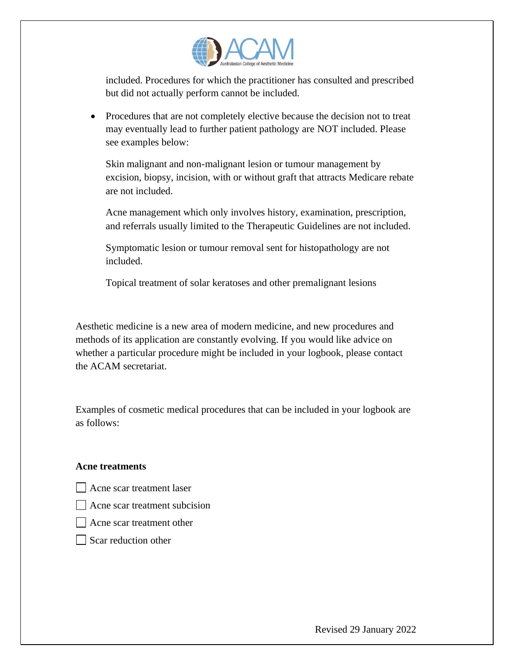

included. Procedures for which the practitioner has consulted and prescribed but did not actually perform cannot be included.

• Procedures that are not completely elective because the decision not to treat may eventually lead to further patient pathology are NOT included. Please see examples below:

Skin malignant and non-malignant lesion or tumour management by excision, biopsy, incision, with or without graft that attracts Medicare rebate are not included.

Acne management which only involves history, examination, prescription, and referrals usually limited to the Therapeutic Guidelines are not included.

Symptomatic lesion or tumour removal sent for histopathology are not included.

Topical treatment of solar keratoses and other premalignant lesions

Aesthetic medicine is a new area of modern medicine, and new procedures and methods of its application are constantly evolving. If you would like advice on whether a particular procedure might be included in your logbook, please contact the ACAM secretariat.

Examples of cosmetic medical procedures that can be included in your logbook are as follows:

#### **Acne treatments**

- Acne scar treatment laser
- Acne scar treatment subcision
- Acne scar treatment other
- $\Box$  Scar reduction other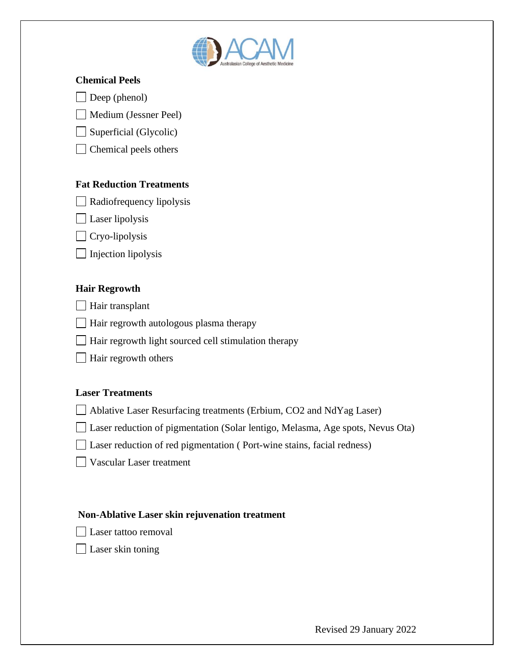

#### **Chemical Peels**

 $\Box$  Deep (phenol)

Medium (Jessner Peel)

 $\Box$  Superficial (Glycolic)

Chemical peels others

# **Fat Reduction Treatments**

 $\Box$  Radiofrequency lipolysis

**Laser** lipolysis

Cryo-lipolysis

 $\Box$  Injection lipolysis

## **Hair Regrowth**

**Hair transplant** 

 $\Box$  Hair regrowth autologous plasma therapy

Hair regrowth light sourced cell stimulation therapy

Hair regrowth others

## **Laser Treatments**

Ablative Laser Resurfacing treatments (Erbium, CO2 and NdYag Laser)

Laser reduction of pigmentation (Solar lentigo, Melasma, Age spots, Nevus Ota)

□ Laser reduction of red pigmentation (Port-wine stains, facial redness)

Vascular Laser treatment

## **Non-Ablative Laser skin rejuvenation treatment**

Laser tattoo removal

**Laser** skin toning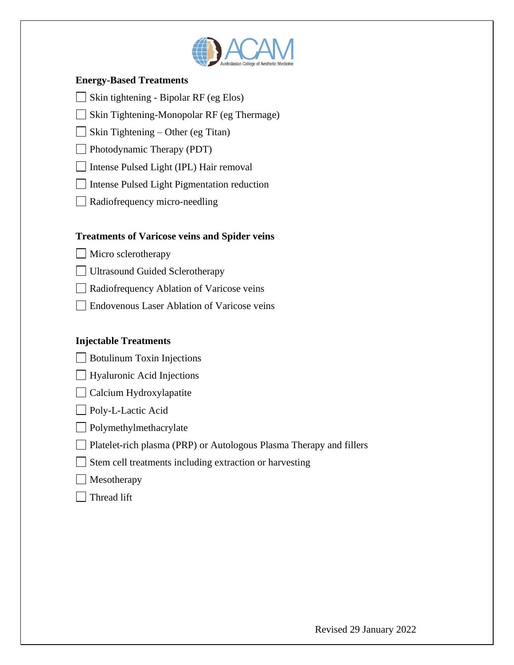

#### **Energy-Based Treatments**

- $\Box$  Skin tightening Bipolar RF (eg Elos)
- Skin Tightening-Monopolar RF (eg Thermage)

 $\Box$  Skin Tightening – Other (eg Titan)

**Photodynamic Therapy (PDT)** 

□ Intense Pulsed Light (IPL) Hair removal

Intense Pulsed Light Pigmentation reduction

Radiofrequency micro-needling

## **Treatments of Varicose veins and Spider veins**

Micro sclerotherapy

Ultrasound Guided Sclerotherapy

Radiofrequency Ablation of Varicose veins

Endovenous Laser Ablation of Varicose veins

## **Injectable Treatments**

**Botulinum Toxin Injections** 

□ Hyaluronic Acid Injections

Calcium Hydroxylapatite

**Poly-L-Lactic Acid** 

**Polymethylmethacrylate** 

Platelet-rich plasma (PRP) or Autologous Plasma Therapy and fillers

 $\Box$  Stem cell treatments including extraction or harvesting

Thread lift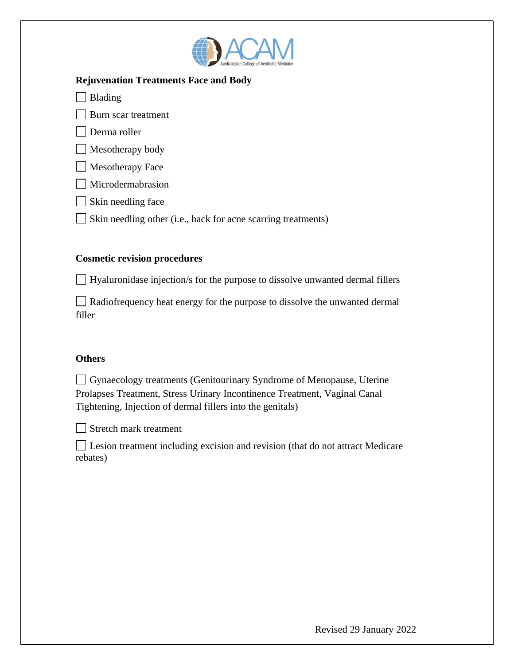

#### **Rejuvenation Treatments Face and Body**

 $\Box$  Blading

**Burn scar treatment** 

Derma roller

Mesotherapy body

 $\Box$  Mesotherapy Face

Microdermabrasion

 $\Box$  Skin needling face

 $\Box$  Skin needling other (i.e., back for acne scarring treatments)

# **Cosmetic revision procedures**

Hyaluronidase injection/s for the purpose to dissolve unwanted dermal fillers

Radiofrequency heat energy for the purpose to dissolve the unwanted dermal filler

# **Others**

Gynaecology treatments (Genitourinary Syndrome of Menopause, Uterine Prolapses Treatment, Stress Urinary Incontinence Treatment, Vaginal Canal Tightening, Injection of dermal fillers into the genitals)



Stretch mark treatment

Lesion treatment including excision and revision (that do not attract Medicare rebates)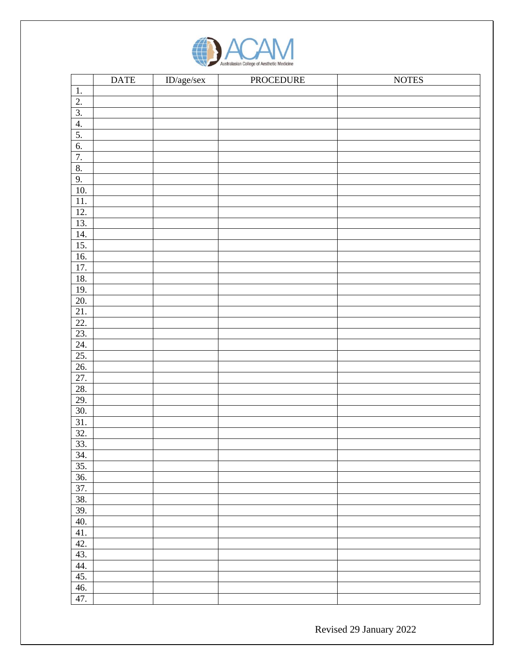

|                   | <b>DATE</b> | $ID/age/sec$ | PROCEDURE | <b>NOTES</b> |
|-------------------|-------------|--------------|-----------|--------------|
| $\overline{1}$ .  |             |              |           |              |
| $\overline{2}$ .  |             |              |           |              |
| $\overline{3}$ .  |             |              |           |              |
| 4.                |             |              |           |              |
|                   |             |              |           |              |
| $\frac{5}{6}$     |             |              |           |              |
| 7.                |             |              |           |              |
| 8.                |             |              |           |              |
| 9.                |             |              |           |              |
| 10.               |             |              |           |              |
| 11.               |             |              |           |              |
| 12.               |             |              |           |              |
| 13.               |             |              |           |              |
| 14.               |             |              |           |              |
| 15.               |             |              |           |              |
| 16.               |             |              |           |              |
| 17.               |             |              |           |              |
| 18.               |             |              |           |              |
|                   |             |              |           |              |
| $\frac{19}{20}$   |             |              |           |              |
| 21.               |             |              |           |              |
| 22.               |             |              |           |              |
| 23.               |             |              |           |              |
|                   |             |              |           |              |
| $\frac{24}{25}$   |             |              |           |              |
| 26.               |             |              |           |              |
| $\overline{27}$   |             |              |           |              |
| 28.               |             |              |           |              |
| 29.               |             |              |           |              |
| 30.               |             |              |           |              |
| $\overline{31}$ . |             |              |           |              |
|                   |             |              |           |              |
| $\frac{32}{33}$ . |             |              |           |              |
| 34.               |             |              |           |              |
| 35.               |             |              |           |              |
| 36.               |             |              |           |              |
| 37.               |             |              |           |              |
| 38.               |             |              |           |              |
| 39.               |             |              |           |              |
| 40.               |             |              |           |              |
| 41.               |             |              |           |              |
| 42.               |             |              |           |              |
| 43.               |             |              |           |              |
| 44.               |             |              |           |              |
| 45.               |             |              |           |              |
| 46.               |             |              |           |              |
| 47.               |             |              |           |              |

Revised 29 January 2022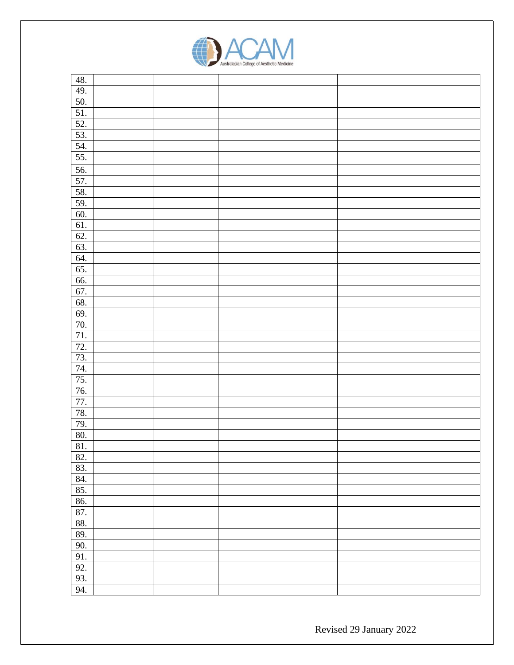

| 48. |  |  |
|-----|--|--|
| 49. |  |  |
| 50. |  |  |
| 51. |  |  |
| 52. |  |  |
| 53. |  |  |
| 54. |  |  |
| 55. |  |  |
| 56. |  |  |
| 57. |  |  |
| 58. |  |  |
| 59. |  |  |
| 60. |  |  |
| 61. |  |  |
| 62. |  |  |
| 63. |  |  |
| 64. |  |  |
| 65. |  |  |
| 66. |  |  |
| 67. |  |  |
| 68. |  |  |
| 69. |  |  |
| 70. |  |  |
| 71. |  |  |
| 72. |  |  |
| 73. |  |  |
| 74. |  |  |
| 75. |  |  |
| 76. |  |  |
| 77. |  |  |
| 78. |  |  |
| 79. |  |  |
| 80. |  |  |
| 81. |  |  |
| 82. |  |  |
| 83. |  |  |
| 84. |  |  |
| 85. |  |  |
| 86. |  |  |
| 87. |  |  |
| 88. |  |  |
| 89. |  |  |
| 90. |  |  |
| 91. |  |  |
| 92. |  |  |
| 93. |  |  |
| 94. |  |  |

Revised 29 January 2022